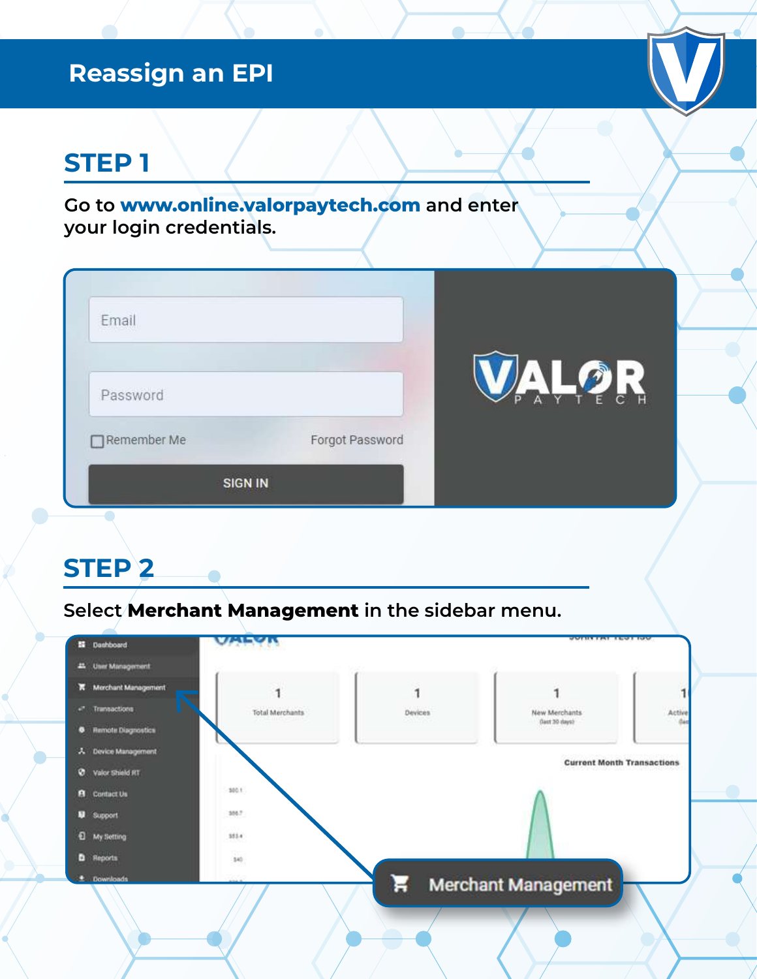## **Reassign an EPI**

# **STEP 1**

**Go to www.online.valorpaytech.com and enter your login credentials.**

| Email<br>--------- |                 |                                                     |
|--------------------|-----------------|-----------------------------------------------------|
| Password           |                 | $\ddot{\phantom{a}}$<br>AYTE<br>P<br>$\overline{C}$ |
| Remember Me        | Forgot Password |                                                     |
| <b>SIGN IN</b>     |                 |                                                     |

#### **STEP 2**

**Select Merchant Management in the sidebar menu.**

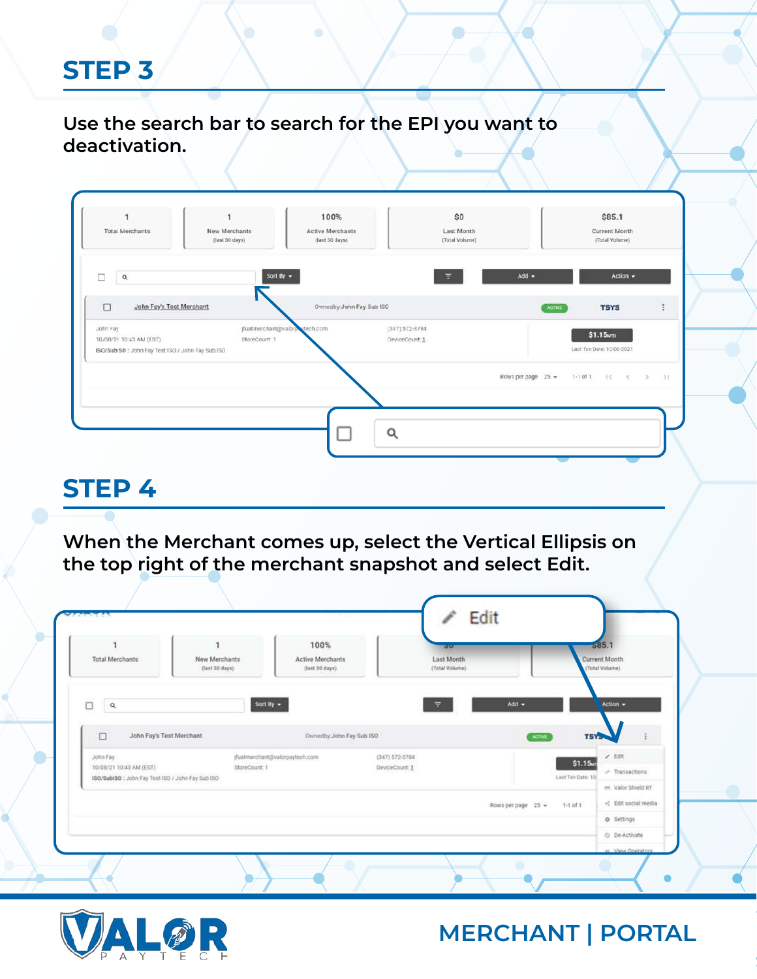**Use the search bar to search for the EPI you want to deactivation.**

| <b>Total Merchants</b>                                                                  | New Merchants<br>(last 30 days) | <b>Active Merchants</b><br>(last 30 days) | Last Month<br>(Total Volume)         |                                   | Current Month<br>(Total Volume)                   |
|-----------------------------------------------------------------------------------------|---------------------------------|-------------------------------------------|--------------------------------------|-----------------------------------|---------------------------------------------------|
| п<br>$\alpha$                                                                           |                                 | Sort By +                                 | 高                                    | $Add -$                           | Action -                                          |
| $\Box$<br>John Fay's Test Merchant                                                      |                                 | Ownedby: John Fay Sub ISO                 |                                      | <b>ACTIVE</b>                     | <b>TSYS</b>                                       |
| John Fay<br>10/08/21 10:45 AM (EST)<br>ISO/SubiSO: John Fay Test ISO / John Fay Sub ISO | StoreCount 1                    | jfuatmerchant@valorpotech.com             | $(347) 572 - 3784$<br>DeviceCount: 1 |                                   | \$1.15 <sub>km</sub><br>Last Txn Date: 10-08-2021 |
|                                                                                         |                                 |                                           |                                      | Rows per page $25 -$<br>$1-1.011$ | 日本<br>$\rightarrow$<br>$\ll$                      |
|                                                                                         |                                 |                                           |                                      |                                   |                                                   |

## **STEP 4**

**When the Merchant comes up, select the Vertical Ellipsis on the top right of the merchant snapshot and select Edit.**

| <b>Total Merchants</b>                           | New Merchants<br>(last 30 days) | 100%<br>Active Merchants<br>(last 30 days) | <b>DOLL</b><br>Last Month<br>(Total Volume) |                                    | 585.1<br>Current Month<br>(Total Volume) |
|--------------------------------------------------|---------------------------------|--------------------------------------------|---------------------------------------------|------------------------------------|------------------------------------------|
|                                                  |                                 |                                            |                                             |                                    |                                          |
| $\Box$<br>$\alpha$                               |                                 | Sort By                                    | 量                                           | $Add -$                            | Action -                                 |
| $\Box$<br>John Fay's Test Merchant               |                                 | Ownedby:John Fay Sub ISO                   |                                             | ADTIVE                             | TSYS                                     |
| John Fay<br>10/08/21 10:43 AM (EST)              | StoreCount: 1                   | jfuatmerchant@valorpaytech.com             | $(347) 572 - 3784$<br>DeviceCount: 1        |                                    | $2$ Edit<br>\$1.15                       |
| ISO/SubISO: John Fay Test ISO / John Fay Sub ISO |                                 |                                            |                                             | Last Txn Date: 10                  | a Transactions                           |
|                                                  |                                 |                                            |                                             | Rows per page 25 =<br>$1-1$ of $1$ | ex Valor Shield RT                       |
|                                                  |                                 |                                            |                                             |                                    | <b>Q</b> Settings                        |
|                                                  |                                 |                                            |                                             |                                    |                                          |

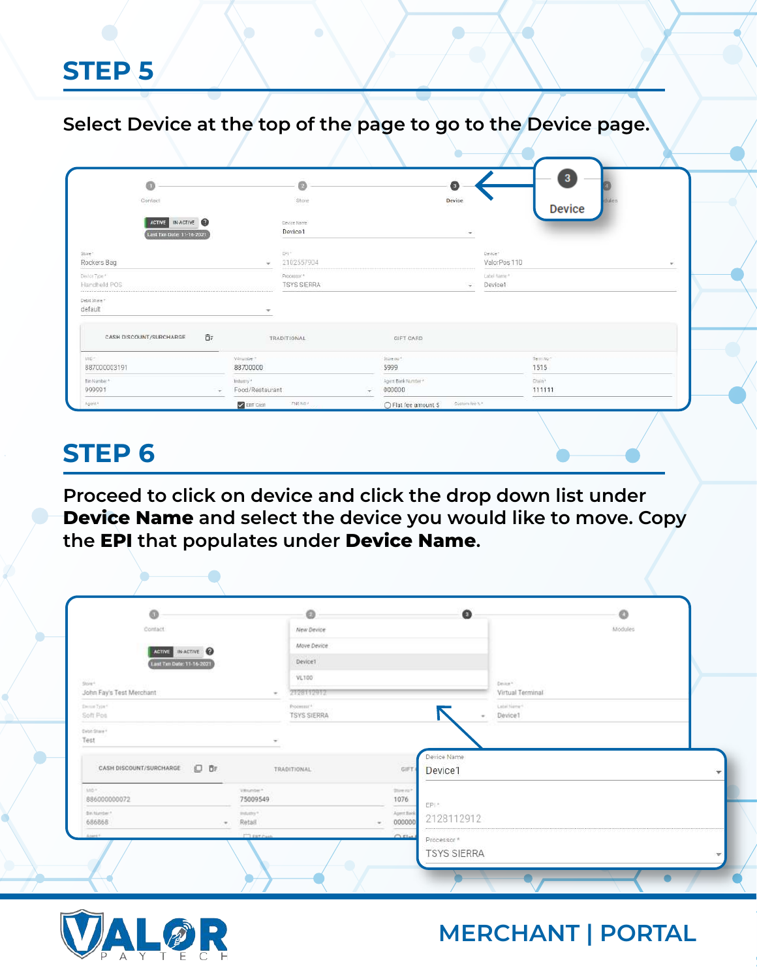**Select Device at the top of the page to go to the Device page.**

| o                                             |                                   | ø                                 |                          |                               | 6              |                          | $\mathbf{3}$      |  |
|-----------------------------------------------|-----------------------------------|-----------------------------------|--------------------------|-------------------------------|----------------|--------------------------|-------------------|--|
| Contact                                       |                                   | Store                             |                          |                               | Device         |                          | tul<br>Device     |  |
| ACTIVE IN-ACTIVE<br>Lest Txn Date: 11-16-2021 |                                   | Device Name<br>Device1            |                          |                               | $\pi$          |                          |                   |  |
| Store *<br>Rockers Bag                        |                                   | EPI-<br>2102557904                |                          |                               |                | Device *<br>ValorPos 110 |                   |  |
| Devloe Type *<br>Handheld POS                 |                                   | Processor *<br><b>TSYS SIERRA</b> |                          |                               | ÷              | Label Name*<br>Device1   |                   |  |
| Debit Share *<br>default                      | $\rightarrow$                     |                                   |                          |                               |                |                          |                   |  |
| 百三<br>CASH DISCOUNT/SURCHARGE                 |                                   | <b>TRADITIONAL</b>                |                          | GIFT CARD                     |                |                          |                   |  |
| MD*<br>887000003191                           | Vinunber <sup>a</sup><br>88700000 |                                   |                          | Store no <sup>4</sup><br>5999 |                |                          | Term No."<br>1515 |  |
| Bin Number*<br>999991                         | Indumry *<br>Food/Restaurant      |                                   | $\overline{\phantom{a}}$ | Agent Bank Number<br>000000   |                |                          | Chain's<br>111111 |  |
| Agent*                                        | $\sqrt{\frac{1}{2}}$ EBT Cash     | THS NO!                           |                          | ○ Flat fee amount \$          | Custom fee % * |                          |                   |  |

# **STEP 6**

**Proceed to click on device and click the drop down list under Device Name and select the device you would like to move. Copy the EPI that populates under Device Name.**

| Q                                  |                        | Ō                                            |                      | $\bullet$                                    |                        | ø       |                          |
|------------------------------------|------------------------|----------------------------------------------|----------------------|----------------------------------------------|------------------------|---------|--------------------------|
| Confact                            |                        | New Device                                   |                      |                                              |                        | Modules |                          |
| ACTIVE IN ACTIVE                   |                        | Move Device                                  |                      |                                              |                        |         |                          |
| Last Ten Date: 11-16-2021          |                        | Device1                                      |                      |                                              |                        |         |                          |
| Store+                             |                        | VL100                                        |                      |                                              | Design"                |         |                          |
| John Fay's Test Merchant<br>$\sim$ |                        | 2128112912                                   |                      |                                              | Virtual Terminal       |         |                          |
| Denis Type 1<br>Soft Pos           |                        | Potential <sup>4</sup><br><b>TSYS SIERRA</b> |                      | $\overline{\phantom{a}}$                     | Label Name*<br>Device1 |         |                          |
| Drive Straight<br>Test             |                        |                                              |                      |                                              |                        |         |                          |
| 0 BF<br>CASH DISCOUNT/SURCHARGE    |                        | TRADITIONAL:                                 | GIFT                 | Device Name<br>Device1                       |                        |         | ▼                        |
| MAN<br>886000000072                | Villander*<br>75009549 |                                              | thing out?<br>1076   | EPI.*                                        |                        |         |                          |
| Bin Number *<br>68686B<br>$\sim$   | industry."<br>Retail   |                                              | Apert Back<br>000000 | 2128112912                                   |                        |         |                          |
| About 6                            | <b>CORPORA</b>         |                                              | $C$ $E1$             | Processor <sup>*</sup><br><b>TSYS SIERRA</b> |                        |         | $\overline{\phantom{a}}$ |

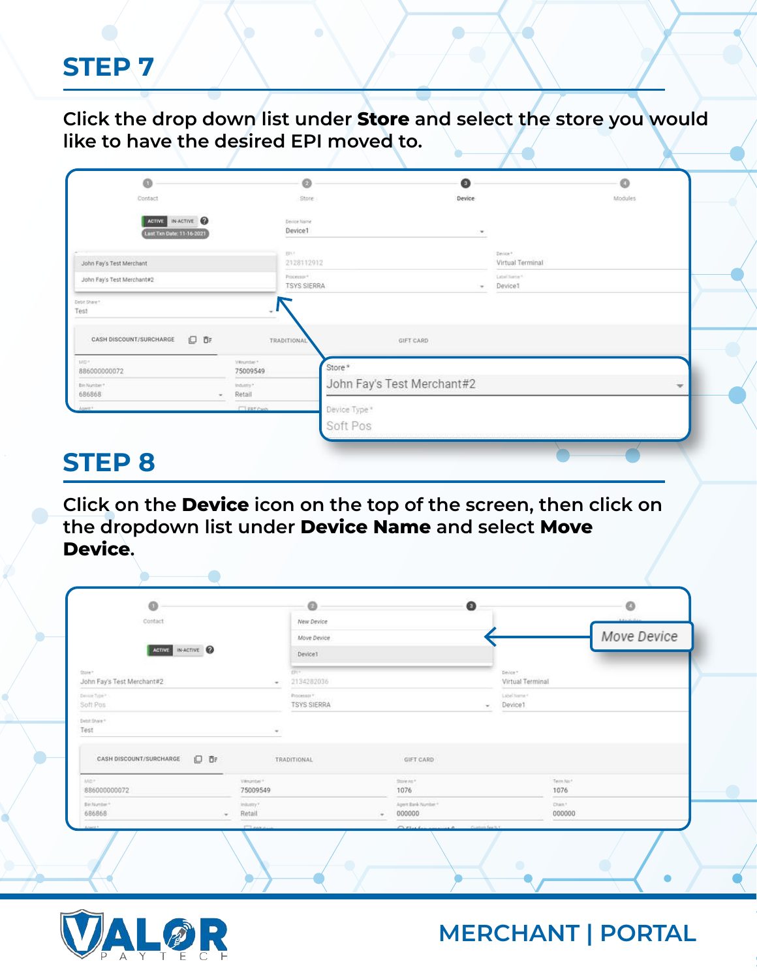**Click the drop down list under Store and select the store you would like to have the desired EPI moved to.** 

| Store<br>Device Name<br>Device1  | Device                     |                                  | Modules |
|----------------------------------|----------------------------|----------------------------------|---------|
|                                  |                            |                                  |         |
|                                  | ٠                          |                                  |         |
| 田川                               |                            | Device *<br>Virtual Terminal     |         |
| Processor®                       | ٠                          | Cabel Name *<br>Device1          |         |
| TRADITIONAL                      | GIFT CARD                  |                                  |         |
| Vinunther *<br>75009549          | Store*                     |                                  |         |
| industry. <sup>4</sup><br>Retail | John Fay's Test Merchant#2 |                                  |         |
| <b>Cleat Cash</b>                | Device Type *              |                                  |         |
|                                  | Soft Pos                   |                                  |         |
|                                  |                            | 2128112912<br><b>TSYS SIERRA</b> |         |

## **STEP 8**

**Click on the Device icon on the top of the screen, then click on the dropdown list under Device Name and select Move Device.** 

| Contact<br>ACTIVE IN ACTIVE            |                                      | New Device<br>Move Device<br>Device1 |                                                                                             |                              | Move Device       |  |
|----------------------------------------|--------------------------------------|--------------------------------------|---------------------------------------------------------------------------------------------|------------------------------|-------------------|--|
| Store?<br>John Fay's Test Merchant#2   |                                      | DT(2)<br>2134282036                  |                                                                                             | Device *<br>Virtual Terminal |                   |  |
| Denise Type *<br>Soft Pos              |                                      | Processor *:<br><b>TSYS SIERRA</b>   | w.                                                                                          | Label Name 4<br>Device1      |                   |  |
| Debit Share<br>Test                    |                                      |                                      |                                                                                             |                              |                   |  |
| 日日<br>CASH DISCOUNT/SURCHARGE          |                                      | TRADITIONAL                          | GIFT CARD                                                                                   |                              |                   |  |
| Mo <sup>+</sup><br>886000000072        | Valuetter **<br>75009549             |                                      | think of<br>1076                                                                            |                              | Term No."<br>1076 |  |
| Bin Number*<br>686868<br><b>Cardon</b> | initiatry?<br>Retail<br><b>Clear</b> |                                      | Apertikel Number<br>000000<br>Contemporary Face No. 1<br><b>CONTRACTOR</b><br>$\sim$ $\sim$ |                              | Chan."<br>000000  |  |
|                                        |                                      |                                      |                                                                                             |                              |                   |  |

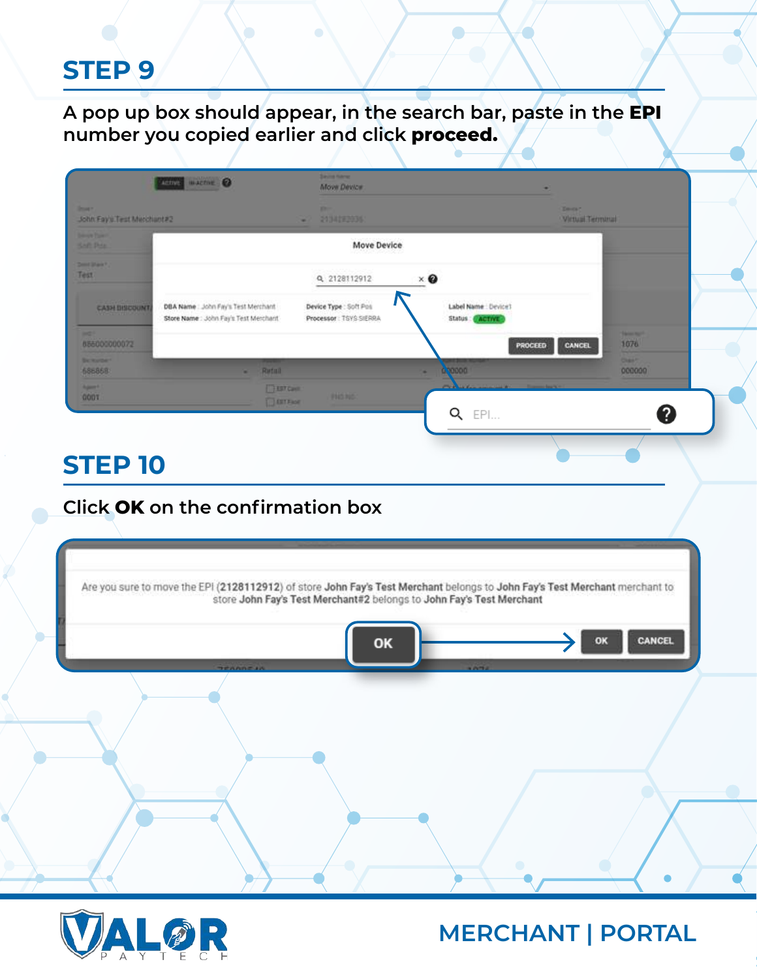**A pop up box should appear, in the search bar, paste in the EPI number you copied earlier and click proceed.**

| THINK WACTIVE @<br><b>Street 1</b>                              |                                                                            |                                      | <b>Move Device</b>                               |                                              | ٠<br><b>Telephone</b> |                         |
|-----------------------------------------------------------------|----------------------------------------------------------------------------|--------------------------------------|--------------------------------------------------|----------------------------------------------|-----------------------|-------------------------|
| John Fay's Test Merchant#2<br><b>Service Planet</b><br>Saft Day |                                                                            |                                      | 2134193036<br>Move Device                        |                                              | Virtual Terminal      |                         |
| Dent Mark?<br>Test                                              |                                                                            |                                      | Q 2128112912                                     | $\times$ $\bf{Q}$                            |                       |                         |
| <b>CASH BISCOUNT</b><br><b><i><u>DERECK HOLL</u></i></b>        | DBA Name: John Fay's Test Merchant<br>Store Name: John Fay's Test Merchant |                                      | Device Type : Soft Pos<br>Processor: TSYS SIERRA | Label Name : Device1<br>Status: ACTIVE       |                       |                         |
| <b>MOT</b><br>886000000072                                      |                                                                            |                                      |                                                  | <b>PROCEED</b>                               | CANCEL                | <b>Samment</b><br>1076  |
| <b>Berkerbert</b><br>686868                                     |                                                                            | Rutull<br>×                          |                                                  | 00000                                        |                       | <b>Chair?</b><br>000000 |
| <b>Agent</b><br>CODT                                            |                                                                            | <b>TELEFORM</b><br><b>IL EXTENSE</b> | <b>PROJEC</b>                                    | and a state of the college of the college of |                       |                         |
|                                                                 |                                                                            |                                      |                                                  | Q<br>EPI                                     |                       | 0                       |
|                                                                 |                                                                            |                                      |                                                  |                                              |                       |                         |

#### **Click OK on the confirmation box**

|  |    | Are you sure to move the EPI (2128112912) of store John Fay's Test Merchant belongs to John Fay's Test Merchant merchant to store John Fay's Test Merchant#2 belongs to John Fay's Test Merchant |    |               |  |
|--|----|--------------------------------------------------------------------------------------------------------------------------------------------------------------------------------------------------|----|---------------|--|
|  | OK |                                                                                                                                                                                                  | OK | <b>CANCEL</b> |  |
|  |    |                                                                                                                                                                                                  |    |               |  |
|  |    |                                                                                                                                                                                                  |    |               |  |